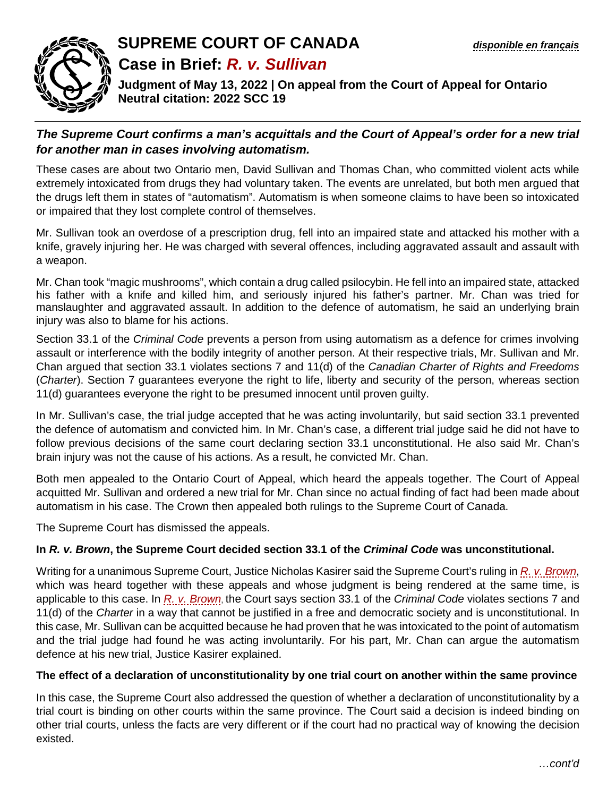

## **SUPREME COURT OF CANADA** *[disponible en français](https://www.scc-csc.ca/case-dossier/cb/2022/39270-fra.pdf)* **Case in Brief:** *R. v. Sullivan*

**Judgment of May 13, 2022 | On appeal from the Court of Appeal for Ontario Neutral citation: 2022 SCC 19** 

## *The Supreme Court confirms a man's acquittals and the Court of Appeal's order for a new trial for another man in cases involving automatism.*

These cases are about two Ontario men, David Sullivan and Thomas Chan, who committed violent acts while extremely intoxicated from drugs they had voluntary taken. The events are unrelated, but both men argued that the drugs left them in states of "automatism". Automatism is when someone claims to have been so intoxicated or impaired that they lost complete control of themselves.

Mr. Sullivan took an overdose of a prescription drug, fell into an impaired state and attacked his mother with a knife, gravely injuring her. He was charged with several offences, including aggravated assault and assault with a weapon.

Mr. Chan took "magic mushrooms", which contain a drug called psilocybin. He fell into an impaired state, attacked his father with a knife and killed him, and seriously injured his father's partner. Mr. Chan was tried for manslaughter and aggravated assault. In addition to the defence of automatism, he said an underlying brain injury was also to blame for his actions.

Section 33.1 of the *Criminal Code* prevents a person from using automatism as a defence for crimes involving assault or interference with the bodily integrity of another person. At their respective trials, Mr. Sullivan and Mr. Chan argued that section 33.1 violates sections 7 and 11(d) of the *Canadian Charter of Rights and Freedoms* (*Charter*). Section 7 guarantees everyone the right to life, liberty and security of the person, whereas section 11(d) guarantees everyone the right to be presumed innocent until proven guilty.

In Mr. Sullivan's case, the trial judge accepted that he was acting involuntarily, but said section 33.1 prevented the defence of automatism and convicted him. In Mr. Chan's case, a different trial judge said he did not have to follow previous decisions of the same court declaring section 33.1 unconstitutional. He also said Mr. Chan's brain injury was not the cause of his actions. As a result, he convicted Mr. Chan.

Both men appealed to the Ontario Court of Appeal, which heard the appeals together. The Court of Appeal acquitted Mr. Sullivan and ordered a new trial for Mr. Chan since no actual finding of fact had been made about automatism in his case. The Crown then appealed both rulings to the Supreme Court of Canada.

The Supreme Court has dismissed the appeals.

## **In** *R. v. Brown***, the Supreme Court decided section 33.1 of the** *Criminal Code* **was unconstitutional.**

Writing for a unanimous Supreme Court, Justice Nicholas Kasirer said the Supreme Court's ruling in *[R. v. Brown](https://www.scc-csc.ca/case-dossier/cb/2022/39781-eng.pdf)*, which was heard together with these appeals and whose judgment is being rendered at the same time, is applicable to this case. In *[R. v. Brown](https://www.scc-csc.ca/case-dossier/cb/2022/39781-eng.pdf)*, the Court says section 33.1 of the *Criminal Code* violates sections 7 and 11(d) of the *Charter* in a way that cannot be justified in a free and democratic society and is unconstitutional. In this case, Mr. Sullivan can be acquitted because he had proven that he was intoxicated to the point of automatism and the trial judge had found he was acting involuntarily. For his part, Mr. Chan can argue the automatism defence at his new trial, Justice Kasirer explained.

## **The effect of a declaration of unconstitutionality by one trial court on another within the same province**

In this case, the Supreme Court also addressed the question of whether a declaration of unconstitutionality by a trial court is binding on other courts within the same province. The Court said a decision is indeed binding on other trial courts, unless the facts are very different or if the court had no practical way of knowing the decision existed.